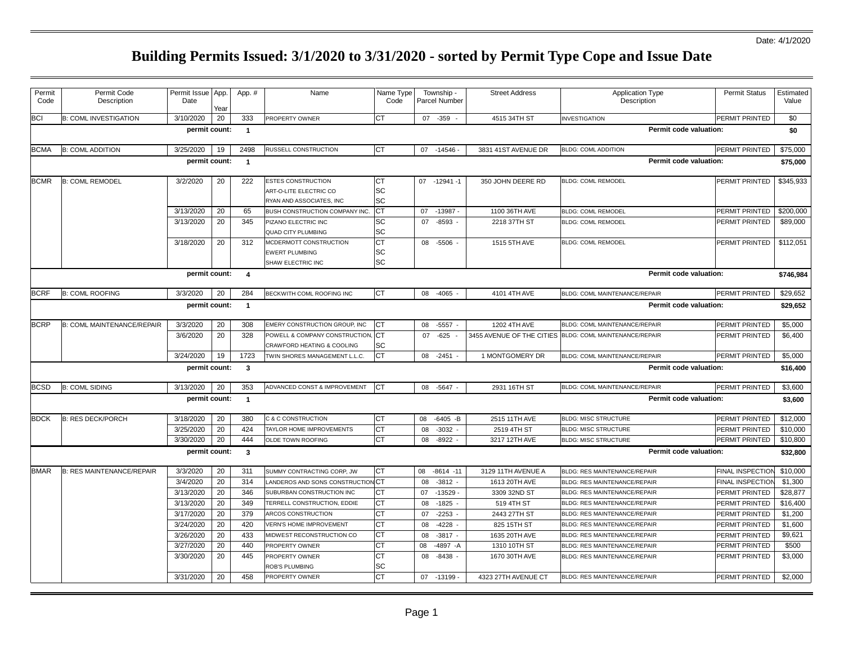| Permit<br>Code | Permit Code<br>Description       | Permit Issue<br>Date | App<br>Yeaı | App. #                  | Name                                                                            | Name Type<br>Code     | Township -<br><b>Parcel Number</b> | <b>Street Address</b>     | Application Type<br>Description      | <b>Permit Status</b>    | Estimated<br>Value |
|----------------|----------------------------------|----------------------|-------------|-------------------------|---------------------------------------------------------------------------------|-----------------------|------------------------------------|---------------------------|--------------------------------------|-------------------------|--------------------|
| <b>BCI</b>     | <b>B: COML INVESTIGATION</b>     | 3/10/2020            | 20          | 333                     | PROPERTY OWNER                                                                  | <b>CT</b>             | 07 -359                            | 4515 34TH ST              | <b>INVESTIGATION</b>                 | PERMIT PRINTED          | \$0                |
|                |                                  | permit count:        |             | $\overline{1}$          |                                                                                 |                       |                                    |                           | Permit code valuation:               |                         | \$0                |
| <b>BCMA</b>    | <b>B: COML ADDITION</b>          | 3/25/2020            | 19          | 2498                    | RUSSELL CONSTRUCTION                                                            | <b>CT</b>             | 07 -14546                          | 3831 41ST AVENUE DR       | <b>BLDG: COML ADDITION</b>           | PERMIT PRINTED          | \$75,000           |
|                |                                  | permit count:        |             | $\overline{1}$          |                                                                                 |                       |                                    |                           | Permit code valuation:               |                         | \$75,000           |
| <b>BCMR</b>    | <b>B: COML REMODEL</b>           | 3/2/2020             | 20          | 222                     | <b>ESTES CONSTRUCTION</b><br>ART-O-LITE ELECTRIC CO<br>RYAN AND ASSOCIATES, INC | <b>CT</b><br>SC<br>SC | 07 -12941 -1                       | 350 JOHN DEERE RD         | <b>BLDG: COML REMODEL</b>            | PERMIT PRINTED          | \$345,933          |
|                |                                  | 3/13/2020            | 20          | 65                      | BUSH CONSTRUCTION COMPANY INC                                                   | CT                    | 07<br>$-13987$                     | 1100 36TH AVE             | <b>BLDG: COML REMODEL</b>            | PERMIT PRINTED          | \$200,000          |
|                |                                  | 3/13/2020            | 20          | 345                     | PIZANO ELECTRIC INC<br>QUAD CITY PLUMBING                                       | SC<br>SC              | 07<br>$-8593$                      | 2218 37TH ST              | BLDG: COML REMODEL                   | PERMIT PRINTED          | \$89,000           |
|                |                                  | 3/18/2020            | 20          | 312                     | MCDERMOTT CONSTRUCTION<br><b>EWERT PLUMBING</b><br>SHAW ELECTRIC INC            | <b>CT</b><br>SC<br>SC | 08 -5506                           | 1515 5TH AVE              | <b>BLDG: COML REMODEL</b>            | PERMIT PRINTED          | \$112,051          |
|                |                                  | permit count:        |             | $\overline{4}$          |                                                                                 |                       |                                    |                           | Permit code valuation:               |                         | \$746,984          |
| <b>BCRF</b>    | <b>B: COML ROOFING</b>           | 3/3/2020             | 20          | 284                     | BECKWITH COML ROOFING INC                                                       | CT                    | 08 -4065                           | 4101 4TH AVE              | BLDG: COML MAINTENANCE/REPAIR        | PERMIT PRINTED          | \$29,652           |
|                |                                  | permit count:        |             | $\overline{1}$          |                                                                                 |                       |                                    |                           | Permit code valuation:               |                         | \$29,652           |
| <b>BCRP</b>    | B: COML MAINTENANCE/REPAIR       | 3/3/2020             | 20          | 308                     | EMERY CONSTRUCTION GROUP, INC                                                   | <b>CT</b>             | 08<br>-5557 -                      | 1202 4TH AVE              | BLDG: COML MAINTENANCE/REPAIR        | PERMIT PRINTED          | \$5,000            |
|                |                                  | 3/6/2020             | 20          | 328                     | POWELL & COMPANY CONSTRUCTION,<br>CRAWFORD HEATING & COOLING                    | CT<br>SC              | $-625$<br>07                       | 3455 AVENUE OF THE CITIES | BLDG: COML MAINTENANCE/REPAIR        | PERMIT PRINTED          | \$6,400            |
|                |                                  | 3/24/2020            | 19          | 1723                    | TWIN SHORES MANAGEMENT L.L.C.                                                   | CT                    | 08 -2451                           | 1 MONTGOMERY DR           | BLDG: COML MAINTENANCE/REPAIR        | PERMIT PRINTED          | \$5,000            |
|                |                                  | permit count:        |             | $\mathbf{3}$            |                                                                                 |                       |                                    |                           | Permit code valuation:               |                         | \$16,400           |
| <b>BCSD</b>    | <b>B: COML SIDING</b>            | 3/13/2020            | 20          | 353                     | ADVANCED CONST & IMPROVEMENT                                                    | <b>ICT</b>            | 08 -5647 -                         | 2931 16TH ST              | <b>BLDG: COML MAINTENANCE/REPAIR</b> | PERMIT PRINTED          | \$3,600            |
|                |                                  | permit count:        |             | $\overline{\mathbf{1}}$ |                                                                                 |                       |                                    |                           | Permit code valuation:               |                         | \$3,600            |
| <b>BDCK</b>    | <b>B: RES DECK/PORCH</b>         | 3/18/2020            | 20          | 380                     | C & C CONSTRUCTION                                                              | <b>CT</b>             | 80<br>$-6405 - B$                  | 2515 11TH AVE             | <b>BLDG: MISC STRUCTURE</b>          | PERMIT PRINTED          | \$12,000           |
|                |                                  | 3/25/2020            | 20          | 424                     | TAYLOR HOME IMPROVEMENTS                                                        | <b>CT</b>             | 08<br>$-3032 -$                    | 2519 4TH ST               | <b>BLDG: MISC STRUCTURE</b>          | PERMIT PRINTED          | \$10,000           |
|                |                                  | 3/30/2020            | 20          | 444                     | OLDE TOWN ROOFING                                                               | <b>CT</b>             | $-8922$<br>08                      | 3217 12TH AVE             | <b>BLDG: MISC STRUCTURE</b>          | PERMIT PRINTED          | \$10,800           |
|                |                                  | permit count:        |             | $\mathbf{3}$            |                                                                                 |                       |                                    |                           | Permit code valuation:               |                         | \$32,800           |
| <b>BMAR</b>    | <b>B: RES MAINTENANCE/REPAIR</b> | 3/3/2020             | 20          | 311                     | SUMMY CONTRACTING CORP, JW                                                      | CT                    | $-8614 - 11$<br>08                 | 3129 11TH AVENUE A        | BLDG: RES MAINTENANCE/REPAIR         | <b>FINAL INSPECTION</b> | \$10,000           |
|                |                                  | 3/4/2020             | 20          | 314                     | LANDEROS AND SONS CONSTRUCTION CT                                               |                       | 08<br>$-3812$                      | 1613 20TH AVE             | BLDG: RES MAINTENANCE/REPAIR         | FINAL INSPECTIO         | \$1,300            |
|                |                                  | 3/13/2020            | 20          | 346                     | SUBURBAN CONSTRUCTION INC                                                       | <b>CT</b>             | $-13529$<br>07                     | 3309 32ND ST              | BLDG: RES MAINTENANCE/REPAIR         | PERMIT PRINTED          | \$28,877           |
|                |                                  | 3/13/2020            | 20          | 349                     | TERRELL CONSTRUCTION, EDDIE                                                     | <b>CT</b>             | 08<br>$-1825$                      | 519 4TH ST                | BLDG: RES MAINTENANCE/REPAIR         | PERMIT PRINTED          | \$16,400           |
|                |                                  | 3/17/2020            | 20          | 379                     | ARCOS CONSTRUCTION                                                              | CT                    | $-2253$<br>07                      | 2443 27TH ST              | BLDG: RES MAINTENANCE/REPAIR         | PERMIT PRINTED          | \$1,200            |
|                |                                  | 3/24/2020            | 20          | 420                     | <b>VERN'S HOME IMPROVEMENT</b>                                                  | <b>CT</b>             | 08<br>$-4228$                      | 825 15TH ST               | BLDG: RES MAINTENANCE/REPAIR         | PERMIT PRINTED          | \$1,600            |
|                |                                  | 3/26/2020            | 20          | 433                     | MIDWEST RECONSTRUCTION CO                                                       | <b>CT</b>             | 08<br>$-3817$ -                    | 1635 20TH AVE             | BLDG: RES MAINTENANCE/REPAIR         | PERMIT PRINTED          | \$9,621            |
|                |                                  | 3/27/2020            | 20          | 440                     | PROPERTY OWNER                                                                  | <b>CT</b>             | $-4897 - A$<br>08                  | 1310 10TH ST              | BLDG: RES MAINTENANCE/REPAIR         | PERMIT PRINTED          | \$500              |
|                |                                  | 3/30/2020            | 20          | 445                     | PROPERTY OWNER<br>ROB'S PLUMBING                                                | <b>CT</b><br>SC       | 08<br>$-8438 -$                    | 1670 30TH AVE             | BLDG: RES MAINTENANCE/REPAIR         | PERMIT PRINTED          | \$3,000            |
|                |                                  | 3/31/2020            | 20          | 458                     | PROPERTY OWNER                                                                  | <b>CT</b>             | 07 -13199 -                        | 4323 27TH AVENUE CT       | BLDG: RES MAINTENANCE/REPAIR         | PERMIT PRINTED          | \$2,000            |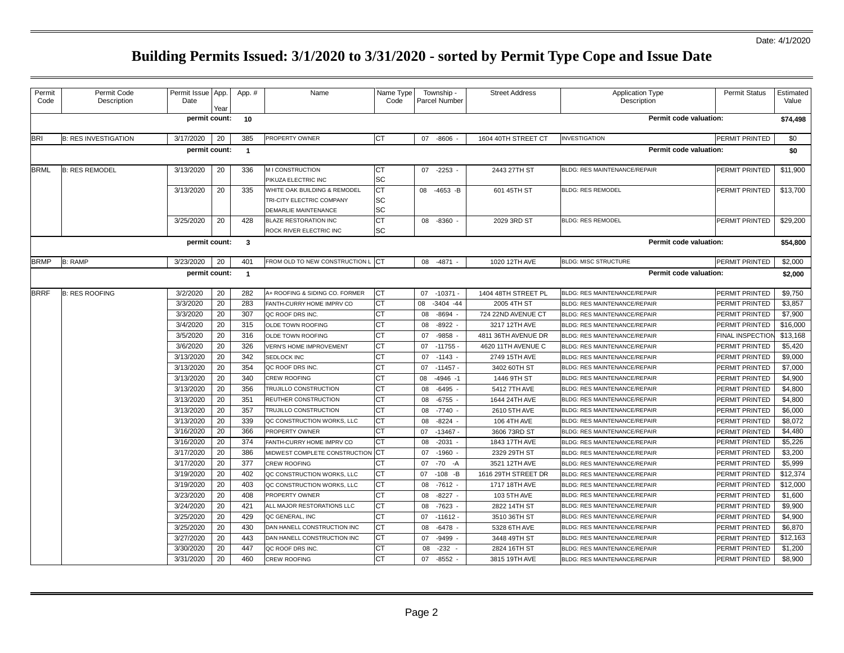| Permit<br>Code | Permit Code<br>Description  | Permit Issue App.<br>Date | Year | App. #         | Name                                                                              | Name Type<br>Code | Township -<br>Parcel Number | <b>Street Address</b> | <b>Application Type</b><br>Description | <b>Permit Status</b>    | Estimated<br>Value |
|----------------|-----------------------------|---------------------------|------|----------------|-----------------------------------------------------------------------------------|-------------------|-----------------------------|-----------------------|----------------------------------------|-------------------------|--------------------|
|                |                             | permit count:             |      | 10             |                                                                                   |                   |                             |                       | Permit code valuation:                 |                         | \$74,498           |
| <b>BRI</b>     | <b>B: RES INVESTIGATION</b> | 3/17/2020                 | 20   | 385            | PROPERTY OWNER                                                                    | СT                | 07 -8606                    | 1604 40TH STREET CT   | <b>INVESTIGATION</b>                   | PERMIT PRINTED          | \$0                |
|                |                             | permit count:             |      | $\overline{1}$ |                                                                                   |                   |                             |                       | Permit code valuation:                 |                         | \$0                |
| <b>BRML</b>    | <b>B: RES REMODEL</b>       | 3/13/2020                 | 20   | 336            | M I CONSTRUCTION<br>PIKUZA ELECTRIC INC                                           | СT<br>SC          | 07 -2253 -                  | 2443 27TH ST          | BLDG: RES MAINTENANCE/REPAIR           | PERMIT PRINTED          | \$11,900           |
|                |                             | 3/13/2020                 | 20   | 335            | WHITE OAK BUILDING & REMODEL<br>TRI-CITY ELECTRIC COMPANY<br>DEMARLIE MAINTENANCE | СT<br>SC<br>SC    | 08 -4653 -B                 | 601 45TH ST           | <b>BLDG: RES REMODEL</b>               | PERMIT PRINTED          | \$13,700           |
|                |                             | 3/25/2020                 | 20   | 428            | <b>BLAZE RESTORATION INC</b><br>ROCK RIVER ELECTRIC INC                           | CT<br><b>SC</b>   | 08 -8360 -                  | 2029 3RD ST           | <b>BLDG: RES REMODEL</b>               | PERMIT PRINTED          | \$29,200           |
|                |                             | permit count:             |      | $\mathbf{3}$   |                                                                                   |                   |                             |                       | Permit code valuation:                 |                         | \$54,800           |
| <b>BRMP</b>    | <b>B: RAMP</b>              | 3/23/2020                 | 20   | 401            | FROM OLD TO NEW CONSTRUCTION L                                                    | <b>CT</b>         | 08 -4871 -                  | 1020 12TH AVE         | <b>BLDG: MISC STRUCTURE</b>            | PERMIT PRINTED          | \$2,000            |
|                |                             | permit count:             |      | $\overline{1}$ |                                                                                   |                   |                             |                       | Permit code valuation:                 |                         | \$2,000            |
| <b>BRRF</b>    | <b>B: RES ROOFING</b>       | 3/2/2020                  | 20   | 282            | A+ ROOFING & SIDING CO. FORMER                                                    | CT                | $-10371$<br>07              | 1404 48TH STREET PL   | BLDG: RES MAINTENANCE/REPAIR           | PERMIT PRINTED          | \$9,750            |
|                |                             | 3/3/2020                  | 20   | 283            | FANTH-CURRY HOME IMPRV CO                                                         | СT                | 08<br>$-3404 - 44$          | 2005 4TH ST           | BLDG: RES MAINTENANCE/REPAIR           | PERMIT PRINTED          | \$3,857            |
|                |                             | 3/3/2020                  | 20   | 307            | QC ROOF DRS INC.                                                                  | CT                | $-8694$<br>08               | 724 22ND AVENUE CT    | BLDG: RES MAINTENANCE/REPAIR           | <b>PERMIT PRINTED</b>   | \$7,900            |
|                |                             | 3/4/2020                  | 20   | 315            | OLDE TOWN ROOFING                                                                 | СT                | 08<br>$-8922$               | 3217 12TH AVE         | BLDG: RES MAINTENANCE/REPAIR           | PERMIT PRINTED          | \$16,000           |
|                |                             | 3/5/2020                  | 20   | 316            | OLDE TOWN ROOFING                                                                 |                   | $-9858$<br>07               | 4811 36TH AVENUE DR   | BLDG: RES MAINTENANCE/REPAIR           | <b>FINAL INSPECTION</b> | \$13,168           |
|                |                             | 3/6/2020                  | 20   | 326            | <b>VERN'S HOME IMPROVEMENT</b>                                                    |                   | $-11755$<br>07              | 4620 11TH AVENUE C    | BLDG: RES MAINTENANCE/REPAIR           | PERMIT PRINTED          | \$5,420            |
|                |                             | 3/13/2020                 | 20   | 342            | SEDLOCK INC                                                                       | СT                | $-1143$<br>07               | 2749 15TH AVE         | BLDG: RES MAINTENANCE/REPAIR           | PERMIT PRINTED          | \$9,000            |
|                |                             | 3/13/2020                 | 20   | 354            | QC ROOF DRS INC.                                                                  | СT                | $-11457$<br>07              | 3402 60TH ST          | BLDG: RES MAINTENANCE/REPAIR           | <b>PERMIT PRINTED</b>   | \$7,000            |
|                |                             | 3/13/2020                 | 20   | 340            | <b>CREW ROOFING</b>                                                               | CТ                | 08<br>$-4946 - 1$           | 1446 9TH ST           | BLDG: RES MAINTENANCE/REPAIR           | PERMIT PRINTED          | \$4,900            |
|                |                             | 3/13/2020                 | 20   | 356            | TRUJILLO CONSTRUCTION                                                             | СT                | $-6495$<br>08               | 5412 7TH AVE          | BLDG: RES MAINTENANCE/REPAIR           | PERMIT PRINTED          | \$4,800            |
|                |                             | 3/13/2020                 | 20   | 351            | REUTHER CONSTRUCTION                                                              | CТ                | 08<br>$-6755$               | 1644 24TH AVE         | BLDG: RES MAINTENANCE/REPAIR           | <b>PERMIT PRINTED</b>   | \$4,800            |
|                |                             | 3/13/2020                 | 20   | 357            | TRUJILLO CONSTRUCTION                                                             | CТ                | $-7740$<br>08               | 2610 5TH AVE          | BLDG: RES MAINTENANCE/REPAIR           | PERMIT PRINTED          | \$6,000            |
|                |                             | 3/13/2020                 | 20   | 339            | QC CONSTRUCTION WORKS, LLC                                                        | <b>CT</b>         | $-8224 -$<br>08             | 106 4TH AVE           | BLDG: RES MAINTENANCE/REPAIR           | PERMIT PRINTED          | \$8,072            |
|                |                             | 3/16/2020                 | 20   | 366            | PROPERTY OWNER                                                                    |                   | $-13467$<br>07              | 3606 73RD ST          | BLDG: RES MAINTENANCE/REPAIR           | PERMIT PRINTED          | \$4,480            |
|                |                             | 3/16/2020                 | 20   | 374            | FANTH-CURRY HOME IMPRV CO                                                         | СT                | $-2031$<br>08               | 1843 17TH AVE         | BLDG: RES MAINTENANCE/REPAIR           | PERMIT PRINTED          | \$5,226            |
|                |                             | 3/17/2020                 | 20   | 386            | MIDWEST COMPLETE CONSTRUCTION                                                     |                   | $-1960$<br>07               | 2329 29TH ST          | BLDG: RES MAINTENANCE/REPAIR           | PERMIT PRINTED          | \$3,200            |
|                |                             | 3/17/2020                 | 20   | 377            | CREW ROOFING                                                                      |                   | $-70$<br>07<br>-A           | 3521 12TH AVE         | BLDG: RES MAINTENANCE/REPAIR           | PERMIT PRINTED          | \$5,999            |
|                |                             | 3/19/2020                 | 20   | 402            | QC CONSTRUCTION WORKS, LLC                                                        | СT                | $-108$ -B<br>07             | 1616 29TH STREET DR   | BLDG: RES MAINTENANCE/REPAIR           | PERMIT PRINTED          | \$12,374           |
|                |                             | 3/19/2020                 | 20   | 403            | QC CONSTRUCTION WORKS, LLC                                                        | CТ                | $-7612 -$<br>08             | 1717 18TH AVE         | BLDG: RES MAINTENANCE/REPAIR           | PERMIT PRINTED          | \$12,000           |
|                |                             | 3/23/2020                 | 20   | 408            | PROPERTY OWNER                                                                    | СT                | $-8227 -$<br>08             | 103 5TH AVE           | BLDG: RES MAINTENANCE/REPAIR           | PERMIT PRINTED          | \$1.600            |
|                |                             | 3/24/2020                 | 20   | 421            | ALL MAJOR RESTORATIONS LLC                                                        | СT                | 08<br>$-7623$               | 2822 14TH ST          | BLDG: RES MAINTENANCE/REPAIR           | PERMIT PRINTED          | \$9,900            |
|                |                             | 3/25/2020                 | 20   | 429            | QC GENERAL, INC                                                                   | СT                | 07<br>$-11612$              | 3510 36TH ST          | BLDG: RES MAINTENANCE/REPAIR           | PERMIT PRINTED          | \$4,900            |
|                |                             | 3/25/2020                 | 20   | 430            | DAN HANELL CONSTRUCTION INC                                                       | СT                | 08<br>$-6478$               | 5328 6TH AVE          | BLDG: RES MAINTENANCE/REPAIR           | PERMIT PRINTED          | \$6,870            |
|                |                             | 3/27/2020                 | 20   | 443            | DAN HANELL CONSTRUCTION INC                                                       | СT                | -9499<br>07                 | 3448 49TH ST          | BLDG: RES MAINTENANCE/REPAIR           | PERMIT PRINTED          | \$12,163           |
|                |                             | 3/30/2020                 | 20   | 447            | QC ROOF DRS INC.                                                                  | CТ                | $-232$<br>08                | 2824 16TH ST          | BLDG: RES MAINTENANCE/REPAIR           | PERMIT PRINTED          | \$1,200            |
|                |                             | 3/31/2020                 | 20   | 460            | <b>CREW ROOFING</b>                                                               | СT                | $-8552$<br>07               | 3815 19TH AVE         | BLDG: RES MAINTENANCE/REPAIR           | PERMIT PRINTED          | \$8,900            |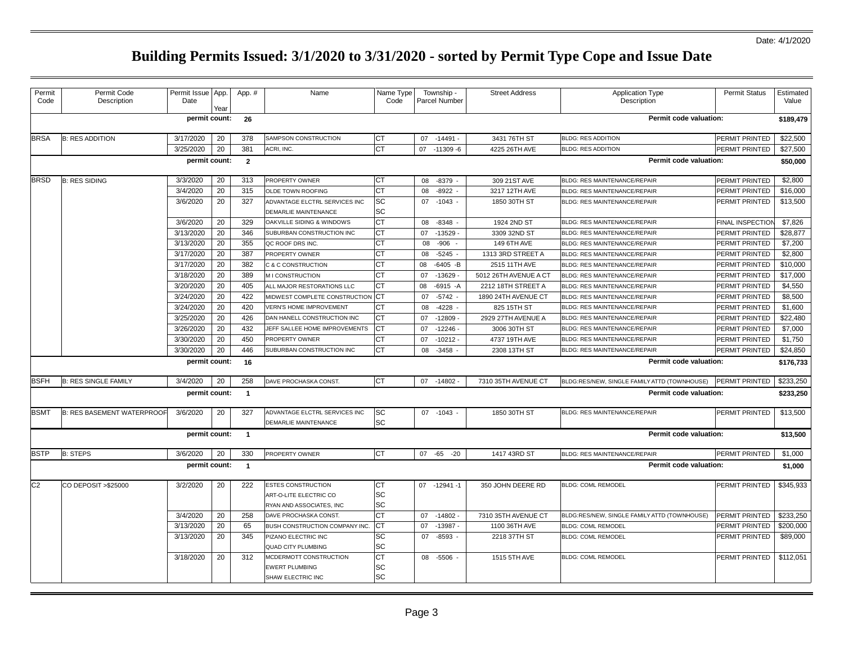| Permit<br>Code | Permit Code<br>Description        | Permit Issue<br>Date | App<br>Yeaı | App. #         | Name                          | Name Type<br>Code      | Township -<br>Parcel Number | <b>Street Address</b> | <b>Application Type</b><br>Description       | <b>Permit Status</b>    | Estimated<br>Value |
|----------------|-----------------------------------|----------------------|-------------|----------------|-------------------------------|------------------------|-----------------------------|-----------------------|----------------------------------------------|-------------------------|--------------------|
|                |                                   | permit count:        |             | 26             |                               |                        |                             |                       | Permit code valuation:                       |                         | \$189,479          |
| <b>BRSA</b>    | <b>B: RES ADDITION</b>            | 3/17/2020            | 20          | 378            | SAMPSON CONSTRUCTION          | СT                     | -14491<br>07                | 3431 76TH ST          | <b>BLDG: RES ADDITION</b>                    | PERMIT PRINTED          | \$22,500           |
|                |                                   | 3/25/2020            | 20          | 381            | ACRI, INC.                    | $\overline{\text{CT}}$ | $-11309 - 6$<br>07          | 4225 26TH AVE         | <b>BLDG: RES ADDITION</b>                    | PERMIT PRINTED          | \$27,500           |
|                |                                   | permit count:        |             | $\overline{2}$ |                               |                        |                             |                       | Permit code valuation:                       |                         | \$50,000           |
| <b>BRSD</b>    | <b>B: RES SIDING</b>              | 3/3/2020             | 20          | 313            | PROPERTY OWNER                | СT                     | $-8379$<br>08               | 309 21ST AVE          | <b>BLDG: RES MAINTENANCE/REPAIR</b>          | PERMIT PRINTED          | \$2,800            |
|                |                                   | 3/4/2020             | 20          | 315            | OLDE TOWN ROOFING             | <b>CT</b>              | $-8922$<br>08               | 3217 12TH AVE         | BLDG: RES MAINTENANCE/REPAIR                 | PERMIT PRINTED          | \$16,000           |
|                |                                   | 3/6/2020             | 20          | 327            | ADVANTAGE ELCTRL SERVICES INC | SC                     | $-1043$<br>07               | 1850 30TH ST          | BLDG: RES MAINTENANCE/REPAIR                 | PERMIT PRINTED          | \$13,500           |
|                |                                   |                      |             |                | DEMARLIE MAINTENANCE          | SC                     |                             |                       |                                              |                         |                    |
|                |                                   | 3/6/2020             | 20          | 329            | OAKVILLE SIDING & WINDOWS     | СT                     | 08<br>$-8348$               | 1924 2ND ST           | BLDG: RES MAINTENANCE/REPAIR                 | <b>FINAL INSPECTION</b> | \$7.826            |
|                |                                   | 3/13/2020            | 20          | 346            | SUBURBAN CONSTRUCTION INC     | <b>CT</b>              | 07<br>$-13529$              | 3309 32ND ST          | BLDG: RES MAINTENANCE/REPAIR                 | PERMIT PRINTED          | \$28,877           |
|                |                                   | 3/13/2020            | 20          | 355            | QC ROOF DRS INC               | СT                     | 08<br>$-906$                | 149 6TH AVE           | BLDG: RES MAINTENANCE/REPAIR                 | PERMIT PRINTED          | \$7,200            |
|                |                                   | 3/17/2020            | 20          | 387            | PROPERTY OWNER                | СT                     | 08<br>$-5245$               | 1313 3RD STREET A     | BLDG: RES MAINTENANCE/REPAIR                 | <b>PERMIT PRINTED</b>   | \$2.800            |
|                |                                   | 3/17/2020            | 20          | 382            | C & C CONSTRUCTION            | СT                     | 08<br>$-6405 - B$           | 2515 11TH AVE         | <b>BLDG: RES MAINTENANCE/REPAIR</b>          | PERMIT PRINTED          | \$10,000           |
|                |                                   | 3/18/2020            | 20          | 389            | M I CONSTRUCTION              | <b>CT</b>              | 07<br>$-13629$              | 5012 26TH AVENUE A CT | BLDG: RES MAINTENANCE/REPAIR                 | PERMIT PRINTED          | \$17,000           |
|                |                                   | 3/20/2020            | 20          | 405            | ALL MAJOR RESTORATIONS LLC    | <b>CT</b>              | $-6915 - A$<br>08           | 2212 18TH STREET A    | BLDG: RES MAINTENANCE/REPAIR                 | PERMIT PRINTED          | \$4,550            |
|                |                                   | 3/24/2020            | 20          | 422            | MIDWEST COMPLETE CONSTRUCTION | <b>CT</b>              | 07<br>$-5742$               | 1890 24TH AVENUE CT   | BLDG: RES MAINTENANCE/REPAIR                 | PERMIT PRINTED          | \$8,500            |
|                |                                   | 3/24/2020            | 20          | 420            | VERN'S HOME IMPROVEMENT       | CT                     | $-4228$<br>08               | 825 15TH ST           | BLDG: RES MAINTENANCE/REPAIR                 | PERMIT PRINTED          | \$1,600            |
|                |                                   | 3/25/2020            | 20          | 426            | DAN HANELL CONSTRUCTION INC   | СT                     | $-12809$<br>07              | 2929 27TH AVENUE A    | BLDG: RES MAINTENANCE/REPAIR                 | PERMIT PRINTED          | \$22,480           |
|                |                                   | 3/26/2020            | 20          | 432            | JEFF SALLEE HOME IMPROVEMENTS | СT                     | 07<br>$-12246$              | 3006 30TH ST          | <b>BLDG: RES MAINTENANCE/REPAIR</b>          | PERMIT PRINTED          | \$7,000            |
|                |                                   | 3/30/2020            | 20          | 450            | PROPERTY OWNER                | СT                     | 07<br>$-10212$              | 4737 19TH AVE         | BLDG: RES MAINTENANCE/REPAIR                 | PERMIT PRINTED          | \$1,750            |
|                |                                   | 3/30/2020            | 20          | 446            | SUBURBAN CONSTRUCTION INC     | СT                     | 08<br>$-3458$               | 2308 13TH ST          | BLDG: RES MAINTENANCE/REPAIR                 | PERMIT PRINTED          | \$24,850           |
|                |                                   | permit count:        |             | 16             |                               |                        |                             |                       | Permit code valuation:                       |                         | \$176,733          |
| <b>BSFH</b>    | <b>B: RES SINGLE FAMILY</b>       | 3/4/2020             | 20          | 258            | DAVE PROCHASKA CONST.         | CT                     | 07 -14802                   | 7310 35TH AVENUE CT   | BLDG:RES/NEW, SINGLE FAMILY ATTD (TOWNHOUSE) | <b>PERMIT PRINTED</b>   | \$233,250          |
|                |                                   | permit count:        |             | $\overline{1}$ |                               |                        |                             |                       | Permit code valuation:                       |                         | \$233,250          |
| <b>BSMT</b>    | <b>B: RES BASEMENT WATERPROOF</b> | 3/6/2020             | 20          | 327            | ADVANTAGE ELCTRL SERVICES INC | SC                     | 07 -1043 -                  | 1850 30TH ST          | BLDG: RES MAINTENANCE/REPAIR                 | PERMIT PRINTED          | \$13,500           |
|                |                                   |                      |             |                | DEMARLIE MAINTENANCE          | <b>SC</b>              |                             |                       |                                              |                         |                    |
|                |                                   | permit count:        |             | $\overline{1}$ |                               |                        |                             |                       | Permit code valuation:                       |                         | \$13,500           |
| <b>BSTP</b>    | <b>B: STEPS</b>                   | 3/6/2020             | 20          | 330            | PROPERTY OWNER                | <b>CT</b>              | 07<br>-65<br>$-20$          | 1417 43RD ST          | BLDG: RES MAINTENANCE/REPAIR                 | PERMIT PRINTED          | \$1,000            |
|                |                                   | permit count:        |             | $\overline{1}$ |                               |                        |                             |                       | Permit code valuation:                       |                         | \$1,000            |
| C <sub>2</sub> | CO DEPOSIT > \$25000              | 3/2/2020             | 20          | 222            | ESTES CONSTRUCTION            | CT                     | $-12941-1$<br>07            | 350 JOHN DEERE RD     | <b>BLDG: COML REMODEL</b>                    | PERMIT PRINTED          | \$345,933          |
|                |                                   |                      |             |                | ART-O-LITE ELECTRIC CO        | SC                     |                             |                       |                                              |                         |                    |
|                |                                   |                      |             |                | RYAN AND ASSOCIATES, INC      | SC                     |                             |                       |                                              |                         |                    |
|                |                                   | 3/4/2020             | 20          | 258            | DAVE PROCHASKA CONST.         | <b>CT</b>              | $-14802$<br>07              | 7310 35TH AVENUE CT   | BLDG:RES/NEW, SINGLE FAMILY ATTD (TOWNHOUSE) | PERMIT PRINTED          | \$233,250          |
|                |                                   | 3/13/2020            | 20          | 65             | BUSH CONSTRUCTION COMPANY INC | ĊТ                     | 07<br>$-13987$              | 1100 36TH AVE         | <b>BLDG: COML REMODEL</b>                    | PERMIT PRINTED          | \$200,000          |
|                |                                   | 3/13/2020            | 20          | 345            | PIZANO ELECTRIC INC           | SC                     | 07 -8593                    | 2218 37TH ST          | <b>BLDG: COML REMODEL</b>                    | PERMIT PRINTED          | \$89,000           |
|                |                                   |                      |             |                | <b>QUAD CITY PLUMBING</b>     | SC                     |                             |                       |                                              |                         |                    |
|                |                                   | 3/18/2020            | 20          | 312            | MCDERMOTT CONSTRUCTION        | <b>CT</b>              | 08 -5506                    | 1515 5TH AVE          | <b>BLDG: COML REMODEL</b>                    | PERMIT PRINTED          | \$112,051          |
|                |                                   |                      |             |                | <b>EWERT PLUMBING</b>         | SC                     |                             |                       |                                              |                         |                    |
|                |                                   |                      |             |                | SHAW ELECTRIC INC             | SC                     |                             |                       |                                              |                         |                    |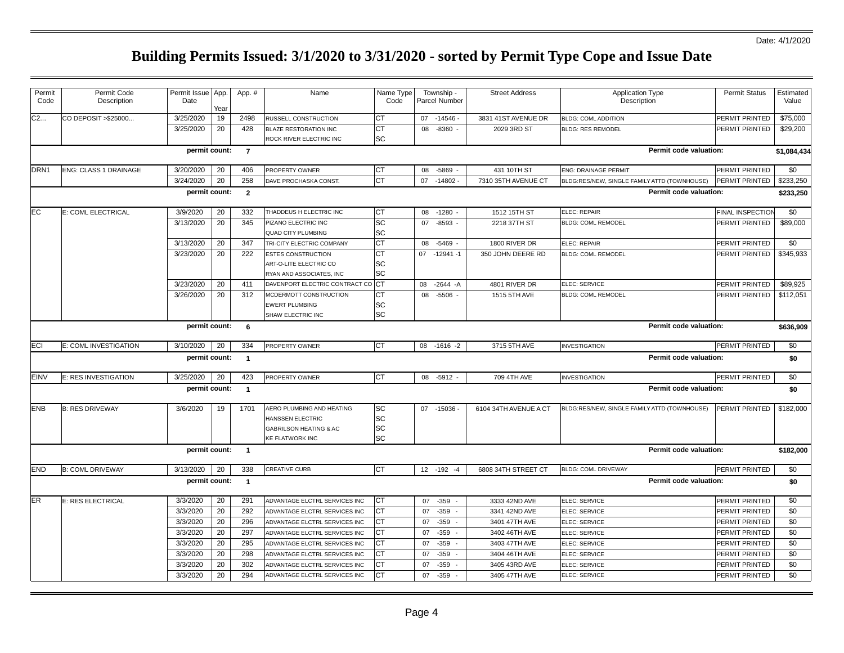| Permit<br>Code   | Permit Code<br>Description   | Permit Issue App.<br>Date                                 | Year | App. #         | Name                              | Name Type<br>Code | Township -<br>Parcel Number | <b>Street Address</b> | <b>Application Type</b><br>Description       | <b>Permit Status</b>  | Estimated<br>Value |
|------------------|------------------------------|-----------------------------------------------------------|------|----------------|-----------------------------------|-------------------|-----------------------------|-----------------------|----------------------------------------------|-----------------------|--------------------|
| C <sub>2</sub>   | CO DEPOSIT > \$25000         | 3/25/2020                                                 | 19   | 2498           | RUSSELL CONSTRUCTION              | <b>CT</b>         | $07 - 14546$                | 3831 41ST AVENUE DR   | <b>BLDG: COML ADDITION</b>                   | PERMIT PRINTED        | \$75,000           |
|                  |                              | 3/25/2020                                                 | 20   | 428            | BLAZE RESTORATION INC             | <b>CT</b>         | 08<br>$-8360 -$             | 2029 3RD ST           | <b>BLDG: RES REMODEL</b>                     | PERMIT PRINTED        | \$29,200           |
|                  |                              |                                                           |      |                | ROCK RIVER ELECTRIC INC           | SC                |                             |                       |                                              |                       |                    |
|                  |                              | permit count:                                             |      | $\overline{7}$ |                                   |                   |                             |                       | Permit code valuation:                       |                       | \$1,084,434        |
| DRN <sub>1</sub> | <b>ENG: CLASS 1 DRAINAGE</b> | 3/20/2020                                                 | 20   | 406            | PROPERTY OWNER                    | СT                | $-5869 -$<br>08             | 431 10TH ST           | <b>ENG: DRAINAGE PERMIT</b>                  | PERMIT PRINTED        | \$0                |
|                  |                              | 3/24/2020                                                 | 20   | 258            | DAVE PROCHASKA CONST              | <b>CT</b>         | 07 -14802                   | 7310 35TH AVENUE CT   | BLDG:RES/NEW, SINGLE FAMILY ATTD (TOWNHOUSE) | PERMIT PRINTED        | \$233,250          |
|                  |                              | permit count:                                             |      | $\overline{2}$ |                                   |                   |                             |                       | Permit code valuation:                       |                       | \$233,250          |
| EC               | E: COML ELECTRICAL           | 3/9/2020                                                  | 20   | 332            | THADDEUS H ELECTRIC INC           | <b>CT</b>         | $-1280$<br>08               | 1512 15TH ST          | ELEC: REPAIR                                 | FINAL INSPECTION      | \$0                |
|                  |                              | 3/13/2020                                                 | 20   | 345            | PIZANO ELECTRIC INC               | SC                | 07<br>$-8593 -$             | 2218 37TH ST          | <b>BLDG: COML REMODEL</b>                    | PERMIT PRINTED        | \$89,000           |
|                  |                              |                                                           |      |                | <b>QUAD CITY PLUMBING</b>         | SC                |                             |                       |                                              |                       |                    |
|                  |                              | 3/13/2020                                                 | 20   | 347            | TRI-CITY ELECTRIC COMPANY         | <b>CT</b>         | 08<br>$-5469$               | 1800 RIVER DR         | ELEC: REPAIR                                 | <b>PERMIT PRINTED</b> | \$0                |
|                  |                              | 3/23/2020                                                 | 20   | 222            | ESTES CONSTRUCTION                | СT                | 07 -12941 -1                | 350 JOHN DEERE RD     | <b>BLDG: COML REMODEL</b>                    | PERMIT PRINTED        | \$345,933          |
|                  |                              |                                                           |      |                | ART-O-LITE ELECTRIC CO            | SC                |                             |                       |                                              |                       |                    |
|                  |                              |                                                           |      |                | RYAN AND ASSOCIATES, INC          | SC                |                             |                       |                                              |                       |                    |
|                  |                              | 3/23/2020                                                 | 20   | 411            | DAVENPORT ELECTRIC CONTRACT CO CT |                   | $-2644 - A$<br>08           | 4801 RIVER DR         | ELEC: SERVICE                                | PERMIT PRINTED        | \$89,925           |
|                  |                              | 3/26/2020                                                 | 20   | 312            | MCDERMOTT CONSTRUCTION            | <b>CT</b>         | 08<br>$-5506$               | 1515 5TH AVE          | <b>BLDG: COML REMODEL</b>                    | PERMIT PRINTED        | \$112,051          |
|                  |                              |                                                           |      |                | <b>EWERT PLUMBING</b>             | SC                |                             |                       |                                              |                       |                    |
|                  |                              |                                                           |      |                | SHAW ELECTRIC INC                 | SC                |                             |                       |                                              |                       |                    |
|                  |                              | permit count:                                             |      | 6              |                                   |                   |                             |                       | Permit code valuation:                       |                       | \$636,909          |
| <b>ECI</b>       | E: COML INVESTIGATION        | 3/10/2020                                                 | 20   | 334            | PROPERTY OWNER                    | <b>CT</b>         | 08 -1616 -2                 | 3715 5TH AVE          | <b>INVESTIGATION</b>                         | PERMIT PRINTED        | \$0                |
|                  |                              | permit count:                                             |      | $\overline{1}$ |                                   |                   |                             |                       | Permit code valuation:                       |                       | \$0                |
| <b>EINV</b>      | E: RES INVESTIGATION         | 3/25/2020                                                 | 20   | 423            | PROPERTY OWNER                    | <b>CT</b>         | 08 -5912 -                  | 709 4TH AVE           | <b>INVESTIGATION</b>                         | PERMIT PRINTED        | \$0                |
|                  |                              | permit count:<br>Permit code valuation:<br>$\overline{1}$ |      |                |                                   |                   |                             |                       |                                              |                       |                    |
|                  |                              |                                                           |      |                |                                   |                   |                             |                       |                                              |                       | \$0                |
| <b>ENB</b>       | <b>B: RES DRIVEWAY</b>       | 3/6/2020                                                  | 19   | 1701           | AERO PLUMBING AND HEATING         | <b>SC</b>         | 07 -15036                   | 6104 34TH AVENUE A CT | BLDG:RES/NEW, SINGLE FAMILY ATTD (TOWNHOUSE) | PERMIT PRINTED        | \$182,000          |
|                  |                              |                                                           |      |                | HANSSEN ELECTRIC                  | <b>SC</b>         |                             |                       |                                              |                       |                    |
|                  |                              |                                                           |      |                | <b>GABRILSON HEATING &amp; AC</b> | SC                |                             |                       |                                              |                       |                    |
|                  |                              |                                                           |      |                | KE FLATWORK INC                   | SC                |                             |                       |                                              |                       |                    |
|                  |                              | permit count:                                             |      | $\overline{1}$ |                                   |                   |                             |                       | Permit code valuation:                       |                       | \$182,000          |
| <b>END</b>       | <b>B: COML DRIVEWAY</b>      | 3/13/2020                                                 | 20   | 338            | <b>CREATIVE CURB</b>              | <b>CT</b>         | 12 -192 -4                  | 6808 34TH STREET CT   | <b>BLDG: COML DRIVEWAY</b>                   | PERMIT PRINTED        | \$0                |
|                  |                              | permit count:                                             |      | $\overline{1}$ |                                   |                   |                             |                       | Permit code valuation:                       |                       | \$0                |
| <b>ER</b>        | E: RES ELECTRICAL            | 3/3/2020                                                  | 20   | 291            | ADVANTAGE ELCTRL SERVICES INC     | <b>CT</b>         | $-359$<br>07                | 3333 42ND AVE         | ELEC: SERVICE                                | PERMIT PRINTED        | \$0                |
|                  |                              | 3/3/2020                                                  | 20   | 292            | ADVANTAGE ELCTRL SERVICES INC     | <b>CT</b>         | $-359$<br>07                | 3341 42ND AVE         | ELEC: SERVICE                                | PERMIT PRINTED        | \$0                |
|                  |                              | 3/3/2020                                                  | 20   | 296            | ADVANTAGE ELCTRL SERVICES INC     | CT                | 07<br>$-359$                | 3401 47TH AVE         | ELEC: SERVICE                                | PERMIT PRINTED        | \$0                |
|                  |                              | 3/3/2020                                                  | 20   | 297            | ADVANTAGE ELCTRL SERVICES INC     | <b>CT</b>         | 07<br>$-359$                | 3402 46TH AVE         | ELEC: SERVICE                                | PERMIT PRINTED        | \$0                |
|                  |                              | 3/3/2020                                                  | 20   | 295            | ADVANTAGE ELCTRL SERVICES INC     | СT                | $-359$<br>07                | 3403 47TH AVE         | ELEC: SERVICE                                | <b>PERMIT PRINTED</b> | \$0                |
|                  |                              | 3/3/2020                                                  | 20   | 298            | ADVANTAGE ELCTRL SERVICES INC     | <b>CT</b>         | 07<br>$-359$                | 3404 46TH AVE         | ELEC: SERVICE                                | PERMIT PRINTED        | \$0                |
|                  |                              | 3/3/2020                                                  | 20   | 302            | ADVANTAGE ELCTRL SERVICES INC     | <b>CT</b>         | $-359$<br>07                | 3405 43RD AVE         | ELEC: SERVICE                                | PERMIT PRINTED        | \$0                |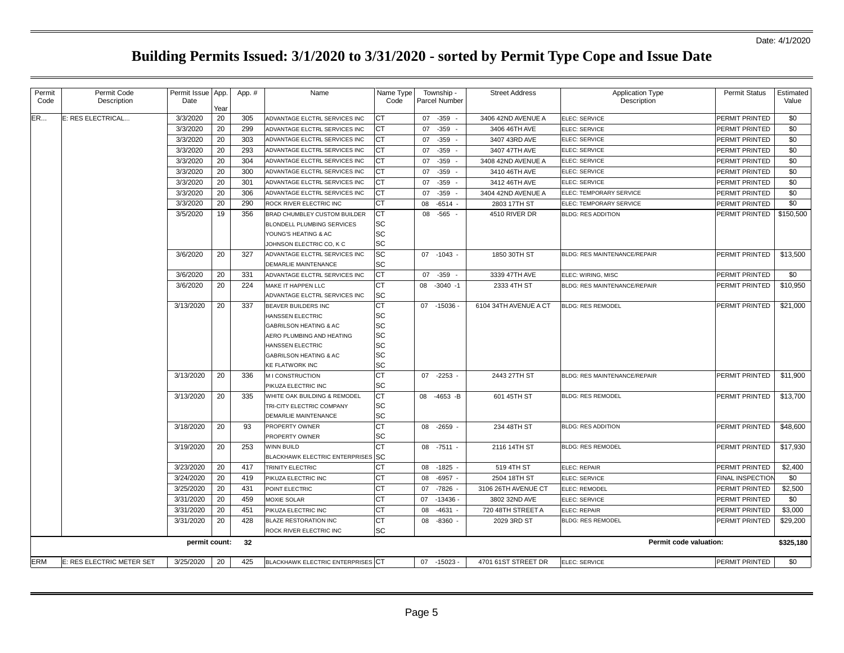| Permit<br>Code | Permit Code<br>Description | Permit Issue App.<br>Date |            | App. # | Name                                     | Name Type<br>Code | Township -<br><b>Parcel Number</b> | <b>Street Address</b> | <b>Application Type</b><br>Description | <b>Permit Status</b>    | Estimated<br>Value |
|----------------|----------------------------|---------------------------|------------|--------|------------------------------------------|-------------------|------------------------------------|-----------------------|----------------------------------------|-------------------------|--------------------|
| <b>ER</b>      | E: RES ELECTRICAL          | 3/3/2020                  | Year<br>20 | 305    | ADVANTAGE ELCTRL SERVICES INC            | CT                | 07 -359 -                          | 3406 42ND AVENUE A    | ELEC: SERVICE                          | PERMIT PRINTED          | \$0                |
|                |                            | 3/3/2020                  | 20         | 299    | ADVANTAGE ELCTRL SERVICES INC            | СT                | $-359$<br>07                       | 3406 46TH AVE         | ELEC: SERVICE                          | PERMIT PRINTED          | \$0                |
|                |                            | 3/3/2020                  | 20         | 303    | ADVANTAGE ELCTRL SERVICES INC            | СT                | 07<br>$-359$                       | 3407 43RD AVE         | ELEC: SERVICE                          | PERMIT PRINTED          | \$0                |
|                |                            | 3/3/2020                  | 20         | 293    | ADVANTAGE ELCTRL SERVICES INC            | СT                | $-359$<br>07                       | 3407 47TH AVE         | ELEC: SERVICE                          | PERMIT PRINTED          | \$0                |
|                |                            | 3/3/2020                  | 20         | 304    | ADVANTAGE ELCTRL SERVICES INC            | <b>CT</b>         | 07<br>$-359$                       | 3408 42ND AVENUE A    | ELEC: SERVICE                          | PERMIT PRINTED          | \$0                |
|                |                            | 3/3/2020                  | 20         | 300    | ADVANTAGE ELCTRL SERVICES INC            | СT                | 07<br>$-359$                       | 3410 46TH AVE         | ELEC: SERVICE                          | PERMIT PRINTED          | \$0                |
|                |                            | 3/3/2020                  | 20         | 301    | ADVANTAGE ELCTRL SERVICES INC            | <b>CT</b>         | $-359$<br>07                       | 3412 46TH AVE         | ELEC: SERVICE                          | PERMIT PRINTED          | \$0                |
|                |                            | 3/3/2020                  | 20         | 306    | ADVANTAGE ELCTRL SERVICES INC            | <b>CT</b>         | 07<br>$-359$                       | 3404 42ND AVENUE A    | ELEC: TEMPORARY SERVICE                | PERMIT PRINTED          | \$0                |
|                |                            | 3/3/2020                  | 20         | 290    | ROCK RIVER ELECTRIC INC                  | СT                | 08<br>$-6514$                      | 2803 17TH ST          | ELEC: TEMPORARY SERVICE                | PERMIT PRINTED          | \$0                |
|                |                            | 3/5/2020                  | 19         | 356    | BRAD CHUMBLEY CUSTOM BUILDER             | СT                | 08<br>$-565 -$                     | 4510 RIVER DR         | <b>BLDG: RES ADDITION</b>              | PERMIT PRINTED          | \$150,500          |
|                |                            |                           |            |        | <b>BLONDELL PLUMBING SERVICES</b>        | SC                |                                    |                       |                                        |                         |                    |
|                |                            |                           |            |        | YOUNG'S HEATING & AC                     | SC                |                                    |                       |                                        |                         |                    |
|                |                            |                           |            |        | JOHNSON ELECTRIC CO, K C                 | SC                |                                    |                       |                                        |                         |                    |
|                |                            | 3/6/2020                  | 20         | 327    | ADVANTAGE ELCTRL SERVICES INC            | SC                | 07 -1043                           | 1850 30TH ST          | BLDG: RES MAINTENANCE/REPAIR           | PERMIT PRINTED          | \$13,500           |
|                |                            |                           |            |        | DEMARLIE MAINTENANCE                     | SC                |                                    |                       |                                        |                         |                    |
|                |                            | 3/6/2020                  | 20         | 331    | ADVANTAGE ELCTRL SERVICES INC            | <b>CT</b>         | 07 -359                            | 3339 47TH AVE         | ELEC: WIRING, MISC                     | PERMIT PRINTED          | \$0                |
|                |                            | 3/6/2020                  | 20         | 224    | MAKE IT HAPPEN LLC                       | CT                | 08 -3040 -1                        | 2333 4TH ST           | BLDG: RES MAINTENANCE/REPAIR           | PERMIT PRINTED          | \$10,950           |
|                |                            |                           |            |        | ADVANTAGE ELCTRL SERVICES INC            | SC                |                                    |                       |                                        |                         |                    |
|                |                            | 3/13/2020                 | 20         | 337    | BEAVER BUILDERS INC                      | <b>CT</b>         | 07 -15036                          | 6104 34TH AVENUE A CT | <b>BLDG: RES REMODEL</b>               | PERMIT PRINTED          | \$21,000           |
|                |                            |                           |            |        | <b>HANSSEN ELECTRIC</b>                  | SC                |                                    |                       |                                        |                         |                    |
|                |                            |                           |            |        | <b>GABRILSON HEATING &amp; AC</b>        | SC                |                                    |                       |                                        |                         |                    |
|                |                            |                           |            |        | AERO PLUMBING AND HEATING                | SC                |                                    |                       |                                        |                         |                    |
|                |                            |                           |            |        | HANSSEN ELECTRIC                         | SC                |                                    |                       |                                        |                         |                    |
|                |                            |                           |            |        | <b>GABRILSON HEATING &amp; AC</b>        | SC<br>SC          |                                    |                       |                                        |                         |                    |
|                |                            |                           |            | 336    | <b>KE FLATWORK INC</b>                   | <b>CT</b>         |                                    |                       | BLDG: RES MAINTENANCE/REPAIR           |                         |                    |
|                |                            | 3/13/2020                 | 20         |        | M I CONSTRUCTION<br>PIKUZA ELECTRIC INC  | SC                | 07 -2253 -                         | 2443 27TH ST          |                                        | PERMIT PRINTED          | \$11,900           |
|                |                            | 3/13/2020                 | 20         | 335    | WHITE OAK BUILDING & REMODEL             | CT                | 08 -4653 -B                        | 601 45TH ST           | <b>BLDG: RES REMODEL</b>               | PERMIT PRINTED          | \$13,700           |
|                |                            |                           |            |        | TRI-CITY ELECTRIC COMPANY                | SC                |                                    |                       |                                        |                         |                    |
|                |                            |                           |            |        | DEMARLIE MAINTENANCE                     | SC                |                                    |                       |                                        |                         |                    |
|                |                            | 3/18/2020                 | 20         | 93     | PROPERTY OWNER                           | <b>CT</b>         | 08<br>-2659 -                      | 234 48TH ST           | <b>BLDG: RES ADDITION</b>              | PERMIT PRINTED          | \$48,600           |
|                |                            |                           |            |        | PROPERTY OWNER                           | SC                |                                    |                       |                                        |                         |                    |
|                |                            | 3/19/2020                 | 20         | 253    | WINN BUILD                               | <b>CT</b>         | $-7511 -$<br>08                    | 2116 14TH ST          | <b>BLDG: RES REMODEL</b>               | PERMIT PRINTED          | \$17,930           |
|                |                            |                           |            |        | BLACKHAWK ELECTRIC ENTERPRISES           | <b>SC</b>         |                                    |                       |                                        |                         |                    |
|                |                            | 3/23/2020                 | 20         | 417    | TRINITY ELECTRIC                         | <b>CT</b>         | 08<br>$-1825$                      | 519 4TH ST            | ELEC: REPAIR                           | PERMIT PRINTED          | \$2,400            |
|                |                            | 3/24/2020                 | 20         | 419    | PIKUZA ELECTRIC INC                      | СT                | $-6957$<br>08                      | 2504 18TH ST          | ELEC: SERVICE                          | <b>FINAL INSPECTION</b> | \$0                |
|                |                            | 3/25/2020                 | 20         | 431    | POINT ELECTRIC                           | СT                | $-7826$<br>07                      | 3106 26TH AVENUE CT   | ELEC: REMODEL                          | PERMIT PRINTED          | \$2.500            |
|                |                            | 3/31/2020                 | 20         | 459    | <b>MOXIE SOLAR</b>                       | CT                | 07<br>$-13436$                     | 3802 32ND AVE         | ELEC: SERVICE                          | PERMIT PRINTED          | \$0                |
|                |                            | 3/31/2020                 | 20         | 451    | PIKUZA ELECTRIC INC                      | <b>CT</b>         | 08<br>$-4631$                      | 720 48TH STREET A     | ELEC: REPAIR                           | PERMIT PRINTED          | \$3,000            |
|                |                            | 3/31/2020                 | 20         | 428    | <b>BLAZE RESTORATION INC</b>             | <b>CT</b>         | 08<br>$-8360$                      | 2029 3RD ST           | <b>BLDG: RES REMODEL</b>               | PERMIT PRINTED          | \$29,200           |
|                |                            |                           |            |        | ROCK RIVER ELECTRIC INC                  | SC                |                                    |                       |                                        |                         |                    |
|                |                            | permit count:             |            | 32     |                                          |                   |                                    |                       | Permit code valuation:                 |                         | \$325,180          |
| <b>ERM</b>     | E: RES ELECTRIC METER SET  | 3/25/2020                 | 20         | 425    | <b>BLACKHAWK ELECTRIC ENTERPRISES CT</b> |                   | 07 -15023 -                        | 4701 61ST STREET DR   | ELEC: SERVICE                          | <b>PERMIT PRINTED</b>   | \$0                |
|                |                            |                           |            |        |                                          |                   |                                    |                       |                                        |                         |                    |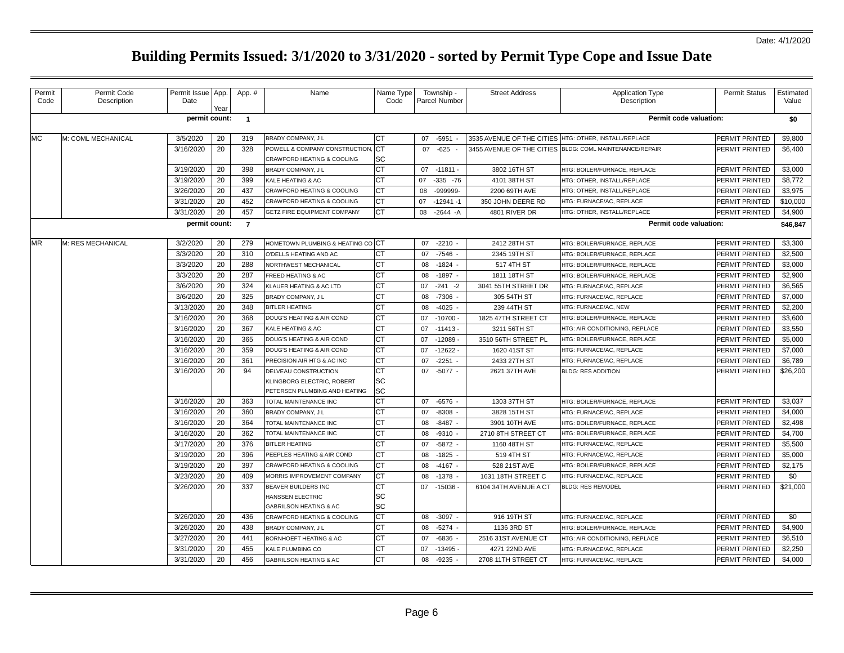| Permit    | Permit Code        | Permit Issue   App. |      | App. #         | Name                                              | Name Type | Township -         | <b>Street Address</b>     | <b>Application Type</b>                                 | <b>Permit Status</b>  | Estimated |
|-----------|--------------------|---------------------|------|----------------|---------------------------------------------------|-----------|--------------------|---------------------------|---------------------------------------------------------|-----------------------|-----------|
| Code      | Description        | Date                | Year |                |                                                   | Code      | Parcel Number      |                           | Description                                             |                       | Value     |
|           |                    | permit count:       |      | $\overline{1}$ |                                                   |           |                    |                           | Permit code valuation:                                  |                       | \$0       |
| МC        | M: COML MECHANICAL | 3/5/2020            | 20   | 319            | BRADY COMPANY, J L                                | СT        | $-5951$<br>07      | 3535 AVENUE OF THE CITIES | HTG: OTHER, INSTALL/REPLACE                             | PERMIT PRINTED        | \$9,800   |
|           |                    | 3/16/2020           | 20   | 328            | POWELL & COMPANY CONSTRUCTION,                    | <b>CT</b> | 07<br>$-625 -$     |                           | 3455 AVENUE OF THE CITIES BLDG: COML MAINTENANCE/REPAIR | PERMIT PRINTED        | \$6,400   |
|           |                    |                     |      |                | CRAWFORD HEATING & COOLING                        | SC        |                    |                           |                                                         |                       |           |
|           |                    | 3/19/2020           | 20   | 398            | <b>BRADY COMPANY, JL</b>                          | <b>CT</b> | 07<br>-11811 -     | 3802 16TH ST              | HTG: BOILER/FURNACE, REPLACE                            | <b>PERMIT PRINTED</b> | \$3,000   |
|           |                    | 3/19/2020           | 20   | 399            | KALE HEATING & AC                                 | СT        | $-335 - 76$<br>07  | 4101 38TH ST              | HTG: OTHER, INSTALL/REPLACE                             | PERMIT PRINTED        | \$8,772   |
|           |                    | 3/26/2020           | 20   | 437            | CRAWFORD HEATING & COOLING                        | CТ        | -999999-<br>08     | 2200 69TH AVE             | HTG: OTHER, INSTALL/REPLACE                             | PERMIT PRINTED        | \$3,975   |
|           |                    | 3/31/2020           | 20   | 452            | CRAWFORD HEATING & COOLING                        | CT        | $-12941 - 1$<br>07 | 350 JOHN DEERE RD         | HTG: FURNACE/AC, REPLACE                                | PERMIT PRINTED        | \$10,000  |
|           |                    | 3/31/2020           | 20   | 457            | GETZ FIRE EQUIPMENT COMPANY                       | <b>CT</b> | 08<br>$-2644 - A$  | 4801 RIVER DR             | HTG: OTHER, INSTALL/REPLACE                             | PERMIT PRINTED        | \$4,900   |
|           |                    | permit count:       |      | $\overline{7}$ |                                                   |           |                    |                           | Permit code valuation:                                  |                       | \$46,847  |
| <b>MR</b> | M: RES MECHANICAL  | 3/2/2020            | 20   | 279            | <b>HOMETOWN PLUMBING &amp; HEATING CO CT</b>      |           | 07<br>$-2210 -$    | 2412 28TH ST              | HTG: BOILER/FURNACE, REPLACE                            | PERMIT PRINTED        | \$3,300   |
|           |                    | 3/3/2020            | 20   | 310            | O'DELLS HEATING AND AC                            | СT        | $-7546$ -<br>07    | 2345 19TH ST              | HTG: BOILER/FURNACE, REPLACE                            | PERMIT PRINTED        | \$2,500   |
|           |                    | 3/3/2020            | 20   | 288            | NORTHWEST MECHANICAL                              | СT        | 08<br>$-1824$      | 517 4TH ST                | HTG: BOILER/FURNACE, REPLACE                            | PERMIT PRINTED        | \$3,000   |
|           |                    | 3/3/2020            | 20   | 287            | FREED HEATING & AC                                | <b>CT</b> | $-1897 -$<br>08    | 1811 18TH ST              | HTG: BOILER/FURNACE, REPLACE                            | PERMIT PRINTED        | \$2,900   |
|           |                    | 3/6/2020            | 20   | 324            | KLAUER HEATING & AC LTD                           | CT        | $-241 - 2$<br>07   | 3041 55TH STREET DR       | HTG: FURNACE/AC, REPLACE                                | PERMIT PRINTED        | \$6,565   |
|           |                    | 3/6/2020            | 20   | 325            | BRADY COMPANY, J L                                | СT        | $-7306$<br>08      | 305 54TH ST               | HTG: FURNACE/AC, REPLACE                                | PERMIT PRINTED        | \$7,000   |
|           |                    | 3/13/2020           | 20   | 348            | <b>BITLER HEATING</b>                             | CТ        | 08<br>$-4025$ -    | 239 44TH ST               | HTG: FURNACE/AC. NEW                                    | PERMIT PRINTED        | \$2,200   |
|           |                    | 3/16/2020           | 20   | 368            | DOUG'S HEATING & AIR COND                         | CT        | $-10700$<br>07     | 1825 47TH STREET CT       | HTG: BOILER/FURNACE, REPLACE                            | PERMIT PRINTED        | \$3,600   |
|           |                    | 3/16/2020           | 20   | 367            | KALE HEATING & AC                                 | СT        | 07<br>$-11413$     | 3211 56TH ST              | HTG: AIR CONDITIONING, REPLACE                          | PERMIT PRINTED        | \$3,550   |
|           |                    | 3/16/2020           | 20   | 365            | DOUG'S HEATING & AIR COND                         | <b>CT</b> | 07<br>$-12089$     | 3510 56TH STREET PL       | HTG: BOILER/FURNACE, REPLACE                            | PERMIT PRINTED        | \$5,000   |
|           |                    | 3/16/2020           | 20   | 359            | DOUG'S HEATING & AIR COND                         | СT        | $-12622$<br>07     | 1620 41ST ST              | HTG: FURNACE/AC, REPLACE                                | PERMIT PRINTED        | \$7,000   |
|           |                    | 3/16/2020           | 20   | 361            | PRECISION AIR HTG & AC INC                        | CT        | $-2251$<br>07      | 2433 27TH ST              | HTG: FURNACE/AC, REPLACE                                | PERMIT PRINTED        | \$6,789   |
|           |                    | 3/16/2020           | 20   | 94             | DELVEAU CONSTRUCTION                              | СT        | 07 -5077 -         | 2621 37TH AVE             | <b>BLDG: RES ADDITION</b>                               | PERMIT PRINTED        | \$26,200  |
|           |                    |                     |      |                | KLINGBORG ELECTRIC, ROBERT                        | <b>SC</b> |                    |                           |                                                         |                       |           |
|           |                    |                     |      |                | PETERSEN PLUMBING AND HEATING                     | SC        |                    |                           |                                                         |                       |           |
|           |                    | 3/16/2020           | 20   | 363            | TOTAL MAINTENANCE INC                             | <b>CT</b> | 07<br>$-6576$      | 1303 37TH ST              | HTG: BOILER/FURNACE, REPLACE                            | PERMIT PRINTED        | \$3,037   |
|           |                    | 3/16/2020           | 20   | 360            | BRADY COMPANY, J L                                | СT        | 07<br>$-8308 -$    | 3828 15TH ST              | HTG: FURNACE/AC, REPLACE                                | PERMIT PRINTED        | \$4,000   |
|           |                    | 3/16/2020           | 20   | 364            | TOTAL MAINTENANCE INC                             | СT        | 08<br>$-8487 -$    | 3901 10TH AVE             | HTG: BOILER/FURNACE, REPLACE                            | PERMIT PRINTED        | \$2,498   |
|           |                    | 3/16/2020           | 20   | 362            | TOTAL MAINTENANCE INC                             | <b>CT</b> | $-9310 -$<br>08    | 2710 8TH STREET CT        | HTG: BOILER/FURNACE, REPLACE                            | PERMIT PRINTED        | \$4,700   |
|           |                    | 3/17/2020           | 20   | 376            | <b>BITLER HEATING</b>                             | СT        | $-5872$<br>07      | 1160 48TH ST              | HTG: FURNACE/AC, REPLACE                                | <b>PERMIT PRINTED</b> | \$5,500   |
|           |                    | 3/19/2020           | 20   | 396            | PEEPLES HEATING & AIR COND                        | СT        | 08<br>$-1825$ -    | 519 4TH ST                | HTG: FURNACE/AC, REPLACE                                | <b>PERMIT PRINTED</b> | \$5,000   |
|           |                    | 3/19/2020           | 20   | 397            | CRAWFORD HEATING & COOLING                        | СT        | 08<br>$-4167 -$    | 528 21ST AVE              | HTG: BOILER/FURNACE, REPLACE                            | PERMIT PRINTED        | \$2,175   |
|           |                    | 3/23/2020           | 20   | 409            | MORRIS IMPROVEMENT COMPANY                        | <b>CT</b> | 08<br>$-1378$      | 1631 18TH STREET C        | HTG: FURNACE/AC, REPLACE                                | PERMIT PRINTED        | \$0       |
|           |                    | 3/26/2020           | 20   | 337            | BEAVER BUILDERS INC                               | СT        | -15036<br>07       | 6104 34TH AVENUE A CT     | <b>BLDG: RES REMODEL</b>                                | PERMIT PRINTED        | \$21,000  |
|           |                    |                     |      |                | <b>HANSSEN ELECTRIC</b><br>GABRILSON HEATING & AC | SC<br>SC  |                    |                           |                                                         |                       |           |
|           |                    | 3/26/2020           | 20   | 436            | CRAWFORD HEATING & COOLING                        | <b>CT</b> | 08<br>$-3097 -$    | 916 19TH ST               | HTG: FURNACE/AC, REPLACE                                | PERMIT PRINTED        | \$0       |
|           |                    | 3/26/2020           | 20   | 438            | BRADY COMPANY, J L                                | <b>CT</b> | 08<br>$-5274 -$    | 1136 3RD ST               | HTG: BOILER/FURNACE, REPLACE                            | PERMIT PRINTED        | \$4,900   |
|           |                    | 3/27/2020           | 20   | 441            | BORNHOEFT HEATING & AC                            | <b>CT</b> | $-6836$<br>07      | 2516 31ST AVENUE CT       | HTG: AIR CONDITIONING, REPLACE                          | PERMIT PRINTED        | \$6,510   |
|           |                    | 3/31/2020           | 20   | 455            | KALE PLUMBING CO                                  | СT        | $-13495$<br>07     | 4271 22ND AVE             | HTG: FURNACE/AC, REPLACE                                | PERMIT PRINTED        | \$2,250   |
|           |                    | 3/31/2020           | 20   | 456            | GABRILSON HEATING & AC                            | <b>CT</b> | 08<br>$-9235$      | 2708 11TH STREET CT       | HTG: FURNACE/AC, REPLACE                                | PERMIT PRINTED        | \$4,000   |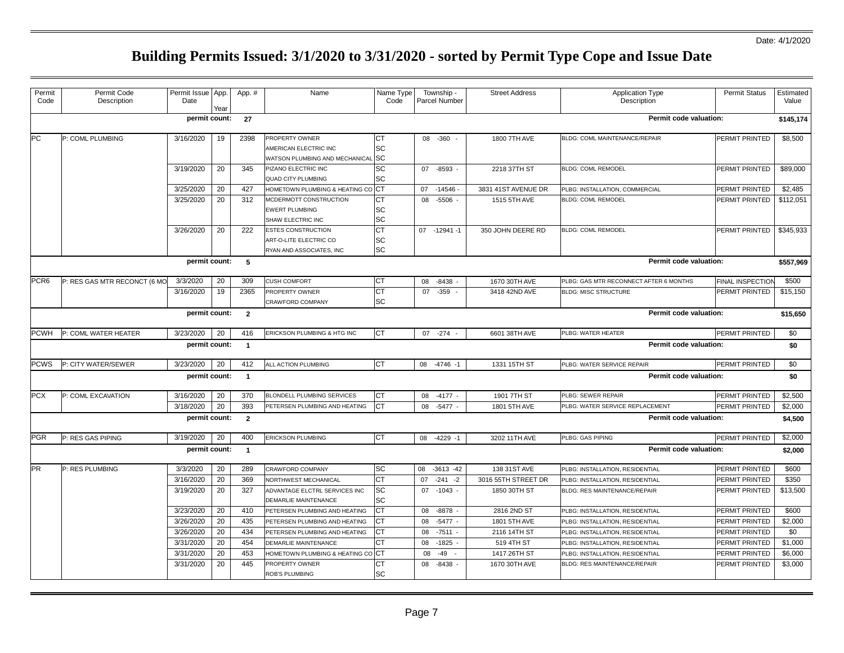| Permit<br>Code   | Permit Code<br>Description   | Permit Issue App.<br>Date | Yea | App. #         | Name                                                           | Name Type<br>Code      | Township -<br>Parcel Number | <b>Street Address</b> | <b>Application Type</b><br>Description | <b>Permit Status</b>    | Estimated<br>Value |
|------------------|------------------------------|---------------------------|-----|----------------|----------------------------------------------------------------|------------------------|-----------------------------|-----------------------|----------------------------------------|-------------------------|--------------------|
|                  |                              | permit count:             |     | 27             |                                                                |                        |                             |                       | Permit code valuation:                 |                         | \$145,174          |
|                  |                              |                           |     |                |                                                                |                        |                             |                       |                                        |                         |                    |
| PC               | P: COML PLUMBING             | 3/16/2020                 | 19  | 2398           | PROPERTY OWNER                                                 | CT                     | 08 -360                     | 1800 7TH AVE          | BLDG: COML MAINTENANCE/REPAIR          | PERMIT PRINTED          | \$8,500            |
|                  |                              |                           |     |                | AMERICAN ELECTRIC INC                                          | SC                     |                             |                       |                                        |                         |                    |
|                  |                              |                           |     |                | WATSON PLUMBING AND MECHANICAL SC                              |                        |                             |                       |                                        |                         |                    |
|                  |                              | 3/19/2020                 | 20  | 345            | PIZANO ELECTRIC INC                                            | SC<br><b>SC</b>        | 07 -8593                    | 2218 37TH ST          | <b>BLDG: COML REMODEL</b>              | PERMIT PRINTED          | \$89,000           |
|                  |                              | 3/25/2020                 | 20  | 427            | <b>QUAD CITY PLUMBING</b><br>HOMETOWN PLUMBING & HEATING CO CT |                        | 07<br>$-14546$              | 3831 41ST AVENUE DR   | PLBG: INSTALLATION, COMMERCIAL         | PERMIT PRINTED          | \$2,485            |
|                  |                              | 3/25/2020                 | 20  | 312            | MCDERMOTT CONSTRUCTION                                         | CT                     | 08 -5506                    | 1515 5TH AVE          | <b>BLDG: COML REMODEL</b>              | PERMIT PRINTED          | \$112,051          |
|                  |                              |                           |     |                | <b>EWERT PLUMBING</b>                                          | SC                     |                             |                       |                                        |                         |                    |
|                  |                              |                           |     |                | SHAW ELECTRIC INC                                              | SC                     |                             |                       |                                        |                         |                    |
|                  |                              | 3/26/2020                 | 20  | 222            | ESTES CONSTRUCTION                                             | <b>CT</b>              | 07 -12941 -1                | 350 JOHN DEERE RD     | <b>BLDG: COML REMODEL</b>              | PERMIT PRINTED          | \$345,933          |
|                  |                              |                           |     |                | ART-O-LITE ELECTRIC CO                                         | SC                     |                             |                       |                                        |                         |                    |
|                  |                              |                           |     |                | RYAN AND ASSOCIATES, INC                                       | SC                     |                             |                       |                                        |                         |                    |
|                  |                              | permit count:             |     | 5              |                                                                |                        |                             |                       | Permit code valuation:                 |                         | \$557,969          |
| PCR <sub>6</sub> | P: RES GAS MTR RECONCT (6 MO | 3/3/2020                  | 20  | 309            | <b>CUSH COMFORT</b>                                            | CT                     | 08<br>-8438                 | 1670 30TH AVE         | PLBG: GAS MTR RECONNECT AFTER 6 MONTHS | <b>FINAL INSPECTION</b> | \$500              |
|                  |                              | 3/16/2020                 | 19  | 2365           | PROPERTY OWNER                                                 | $\overline{\text{CT}}$ | 07 - 359 -                  | 3418 42ND AVE         | <b>BLDG: MISC STRUCTURE</b>            | PERMIT PRINTED          | \$15,150           |
|                  |                              |                           |     |                | CRAWFORD COMPANY                                               | SC                     |                             |                       |                                        |                         |                    |
|                  |                              | permit count:             |     | $\overline{2}$ |                                                                |                        |                             |                       | Permit code valuation:                 |                         | \$15,650           |
| <b>PCWH</b>      | P: COML WATER HEATER         | 3/23/2020                 | 20  | 416            | ERICKSON PLUMBING & HTG INC                                    | CT                     | 07 -274                     | 6601 38TH AVE         | PLBG: WATER HEATER                     | <b>PERMIT PRINTED</b>   | \$0                |
|                  |                              | permit count:             |     | $\overline{1}$ |                                                                |                        |                             |                       | Permit code valuation:                 |                         | \$0                |
| <b>PCWS</b>      | P: CITY WATER/SEWER          | 3/23/2020                 | 20  | 412            | ALL ACTION PLUMBING                                            | <b>CT</b>              | 08 -4746 -1                 | 1331 15TH ST          | PLBG: WATER SERVICE REPAIR             | PERMIT PRINTED          | \$0                |
|                  |                              | permit count:             |     | $\overline{1}$ |                                                                |                        |                             |                       | Permit code valuation:                 |                         | \$0                |
|                  |                              |                           |     |                |                                                                |                        |                             |                       |                                        |                         |                    |
| <b>PCX</b>       | P: COML EXCAVATION           | 3/16/2020                 | 20  | 370            | <b>BLONDELL PLUMBING SERVICES</b>                              | CT                     | 08<br>$-4177 -$             | 1901 7TH ST           | PLBG: SEWER REPAIR                     | <b>PERMIT PRINTED</b>   | \$2,500            |
|                  |                              | 3/18/2020                 | 20  | 393            | PETERSEN PLUMBING AND HEATING                                  | СT                     | 08<br>$-5477$               | 1801 5TH AVE          | PLBG: WATER SERVICE REPLACEMENT        | PERMIT PRINTED          | \$2,000            |
|                  |                              | permit count:             |     | $\overline{2}$ |                                                                |                        |                             |                       | Permit code valuation:                 |                         | \$4,500            |
| <b>PGR</b>       | P: RES GAS PIPING            | 3/19/2020                 | 20  | 400            | ERICKSON PLUMBING                                              | CT                     | 08 -4229 -1                 | 3202 11TH AVE         | PLBG: GAS PIPING                       | PERMIT PRINTED          | \$2,000            |
|                  |                              | permit count:             |     | $\overline{1}$ |                                                                |                        |                             |                       | Permit code valuation:                 |                         | \$2,000            |
| <b>PR</b>        | P: RES PLUMBING              | 3/3/2020                  | 20  | 289            | CRAWFORD COMPANY                                               | SC                     | $-3613 - 42$<br>08          | 138 31ST AVE          | PLBG: INSTALLATION, RESIDENTIAL        | <b>PERMIT PRINTED</b>   | \$600              |
|                  |                              | 3/16/2020                 | 20  | 369            | NORTHWEST MECHANICAL                                           | СT                     | $-241$<br>07<br>$-2$        | 3016 55TH STREET DR   | PLBG: INSTALLATION, RESIDENTIAL        | PERMIT PRINTED          | \$350              |
|                  |                              | 3/19/2020                 | 20  | 327            | ADVANTAGE ELCTRL SERVICES INC                                  | SC                     | 07<br>$-1043 -$             | 1850 30TH ST          | BLDG: RES MAINTENANCE/REPAIR           | PERMIT PRINTED          | \$13,500           |
|                  |                              |                           |     |                | DEMARLIE MAINTENANCE                                           | SC                     |                             |                       |                                        |                         |                    |
|                  |                              | 3/23/2020                 | 20  | 410            | PETERSEN PLUMBING AND HEATING                                  | CT                     | $-8878$<br>08               | 2816 2ND ST           | PLBG: INSTALLATION, RESIDENTIAL        | PERMIT PRINTED          | \$600              |
|                  |                              | 3/26/2020                 | 20  | 435            | PETERSEN PLUMBING AND HEATING                                  | СT                     | 08<br>$-5477$ .             | 1801 5TH AVE          | PLBG: INSTALLATION, RESIDENTIAL        | PERMIT PRINTED          | \$2,000            |
|                  |                              | 3/26/2020                 | 20  | 434            | PETERSEN PLUMBING AND HEATING                                  | СT                     | 08<br>$-7511$               | 2116 14TH ST          | PLBG: INSTALLATION, RESIDENTIAL        | PERMIT PRINTED          | \$0                |
|                  |                              | 3/31/2020                 | 20  | 454            | <b>DEMARLIE MAINTENANCE</b>                                    | СT                     | 08<br>$-1825$               | 519 4TH ST            | PLBG: INSTALLATION, RESIDENTIAL        | PERMIT PRINTED          | \$1,000            |
|                  |                              | 3/31/2020                 | 20  | 453            | HOMETOWN PLUMBING & HEATING CO CT                              |                        | 08<br>$-49$                 | 1417 26TH ST          | PLBG: INSTALLATION, RESIDENTIAL        | <b>PERMIT PRINTED</b>   | \$6,000            |
|                  |                              | 3/31/2020                 | 20  | 445            | PROPERTY OWNER                                                 | CТ                     | 08<br>$-8438$               | 1670 30TH AVE         | BLDG: RES MAINTENANCE/REPAIR           | PERMIT PRINTED          | \$3,000            |
|                  |                              |                           |     |                | <b>ROB'S PLUMBING</b>                                          | <b>SC</b>              |                             |                       |                                        |                         |                    |